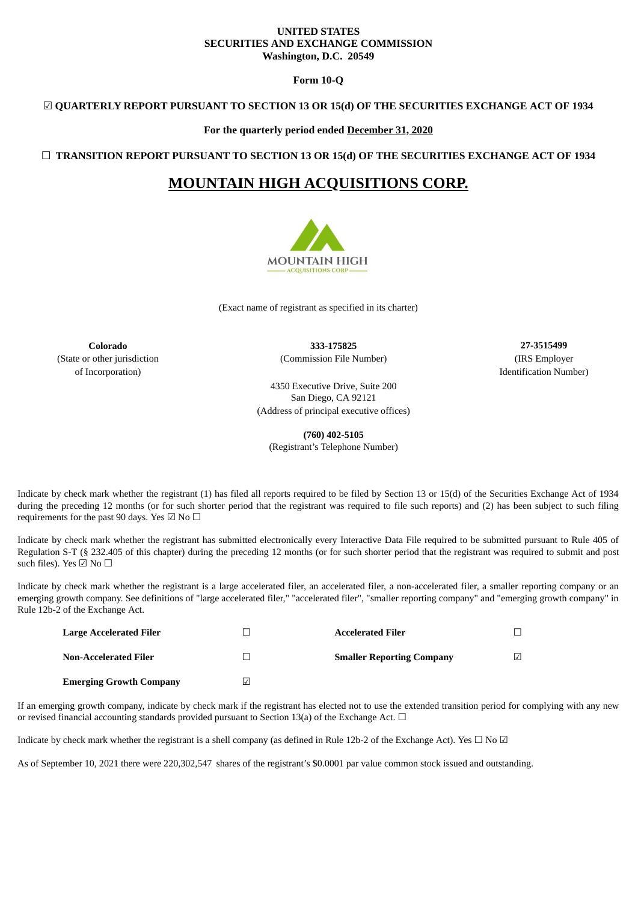## **UNITED STATES SECURITIES AND EXCHANGE COMMISSION Washington, D.C. 20549**

**Form 10-Q**

## ☑ **QUARTERLY REPORT PURSUANT TO SECTION 13 OR 15(d) OF THE SECURITIES EXCHANGE ACT OF 1934**

**For the quarterly period ended December 31, 2020**

☐ **TRANSITION REPORT PURSUANT TO SECTION 13 OR 15(d) OF THE SECURITIES EXCHANGE ACT OF 1934**

# **MOUNTAIN HIGH ACQUISITIONS CORP.**



(Exact name of registrant as specified in its charter)

**Colorado 333-175825 27-3515499** (State or other jurisdiction (Commission File Number) (IRS Employer

of Incorporation) and Identification Number) and Identification Number and Identification Number

4350 Executive Drive, Suite 200 San Diego, CA 92121 (Address of principal executive offices)

**(760) 402-5105**

(Registrant's Telephone Number)

Indicate by check mark whether the registrant (1) has filed all reports required to be filed by Section 13 or 15(d) of the Securities Exchange Act of 1934 during the preceding 12 months (or for such shorter period that the registrant was required to file such reports) and (2) has been subject to such filing requirements for the past 90 days. Yes  $\boxdot$  No  $\Box$ 

Indicate by check mark whether the registrant has submitted electronically every Interactive Data File required to be submitted pursuant to Rule 405 of Regulation S-T (§ 232.405 of this chapter) during the preceding 12 months (or for such shorter period that the registrant was required to submit and post such files). Yes ☑ No  $□$ 

Indicate by check mark whether the registrant is a large accelerated filer, an accelerated filer, a non-accelerated filer, a smaller reporting company or an emerging growth company. See definitions of "large accelerated filer," "accelerated filer", "smaller reporting company" and "emerging growth company" in Rule 12b-2 of the Exchange Act.

| <b>Large Accelerated Filer</b> |   | <b>Accelerated Filer</b>         |            |
|--------------------------------|---|----------------------------------|------------|
| Non-Accelerated Filer          |   | <b>Smaller Reporting Company</b> | $\sqrt{ }$ |
| <b>Emerging Growth Company</b> | ৶ |                                  |            |

If an emerging growth company, indicate by check mark if the registrant has elected not to use the extended transition period for complying with any new or revised financial accounting standards provided pursuant to Section 13(a) of the Exchange Act.  $\Box$ 

Indicate by check mark whether the registrant is a shell company (as defined in Rule 12b-2 of the Exchange Act). Yes  $\Box$  No  $\Box$ 

As of September 10, 2021 there were 220,302,547 shares of the registrant's \$0.0001 par value common stock issued and outstanding.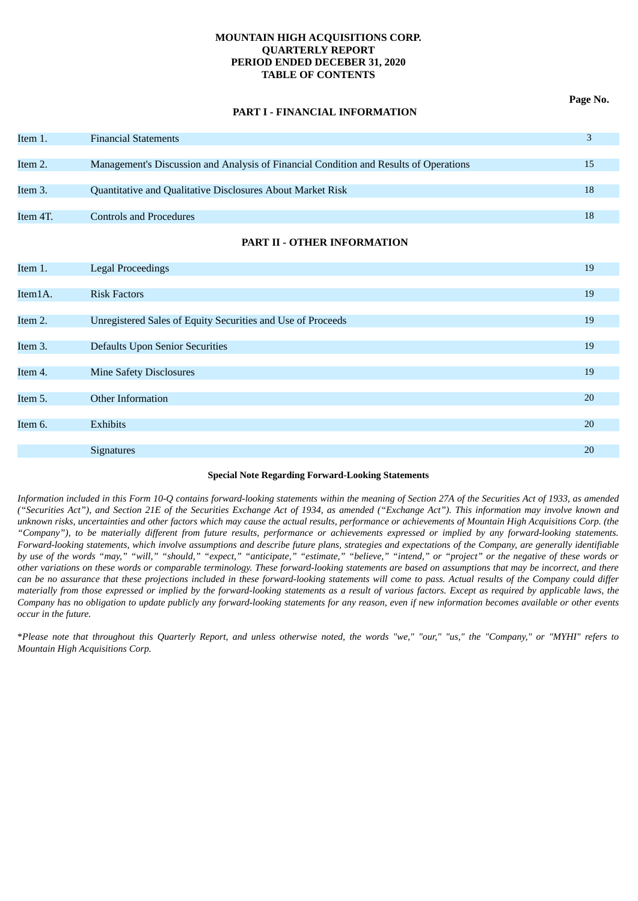## **MOUNTAIN HIGH ACQUISITIONS CORP. QUARTERLY REPORT PERIOD ENDED DECEBER 31, 2020 TABLE OF CONTENTS**

## **PART I - FINANCIAL INFORMATION**

| Item 1.  | <b>Financial Statements</b>                                                           |    |
|----------|---------------------------------------------------------------------------------------|----|
|          |                                                                                       |    |
| Item 2.  | Management's Discussion and Analysis of Financial Condition and Results of Operations | 15 |
|          |                                                                                       |    |
| Item 3.  | Quantitative and Qualitative Disclosures About Market Risk                            | 18 |
|          |                                                                                       |    |
| Item 4T. | <b>Controls and Procedures</b>                                                        | 18 |
|          |                                                                                       |    |

## **PART II - OTHER INFORMATION**

| Item 1. | <b>Legal Proceedings</b>                                    | 19 |
|---------|-------------------------------------------------------------|----|
|         |                                                             |    |
| Item1A. | <b>Risk Factors</b>                                         | 19 |
|         |                                                             |    |
| Item 2. | Unregistered Sales of Equity Securities and Use of Proceeds | 19 |
|         |                                                             |    |
| Item 3. | <b>Defaults Upon Senior Securities</b>                      | 19 |
|         |                                                             |    |
| Item 4. | <b>Mine Safety Disclosures</b>                              | 19 |
|         |                                                             |    |
| Item 5. | Other Information                                           | 20 |
|         |                                                             |    |
| Item 6. | Exhibits                                                    | 20 |
|         |                                                             |    |
|         | <b>Signatures</b>                                           | 20 |
|         |                                                             |    |

## **Special Note Regarding Forward-Looking Statements**

Information included in this Form 10-Q contains forward-looking statements within the meaning of Section 27A of the Securities Act of 1933, as amended ("Securities Act"), and Section 21E of the Securities Exchange Act of 1934, as amended ("Exchange Act"). This information may involve known and unknown risks, uncertainties and other factors which may cause the actual results, performance or achievements of Mountain High Acquisitions Corp. (the "Company"), to be materially different from future results, performance or achievements expressed or implied by any forward-looking statements. Forward-looking statements, which involve assumptions and describe future plans, strategies and expectations of the Company, are generally identifiable by use of the words "may," "will," "should," "expect," "anticipate," "estimate," "believe," "intend," or "project" or the negative of these words or other variations on these words or comparable terminology. These forward-looking statements are based on assumptions that may be incorrect, and there can be no assurance that these projections included in these forward-looking statements will come to pass. Actual results of the Company could differ materially from those expressed or implied by the forward-looking statements as a result of various factors. Except as required by applicable laws, the Company has no obligation to update publicly any forward-looking statements for any reason, even if new information becomes available or other events *occur in the future.*

\*Please note that throughout this Quarterly Report, and unless otherwise noted, the words "we," "our," "us," the "Company," or "MYHI" refers to *Mountain High Acquisitions Corp.*

**Page No.**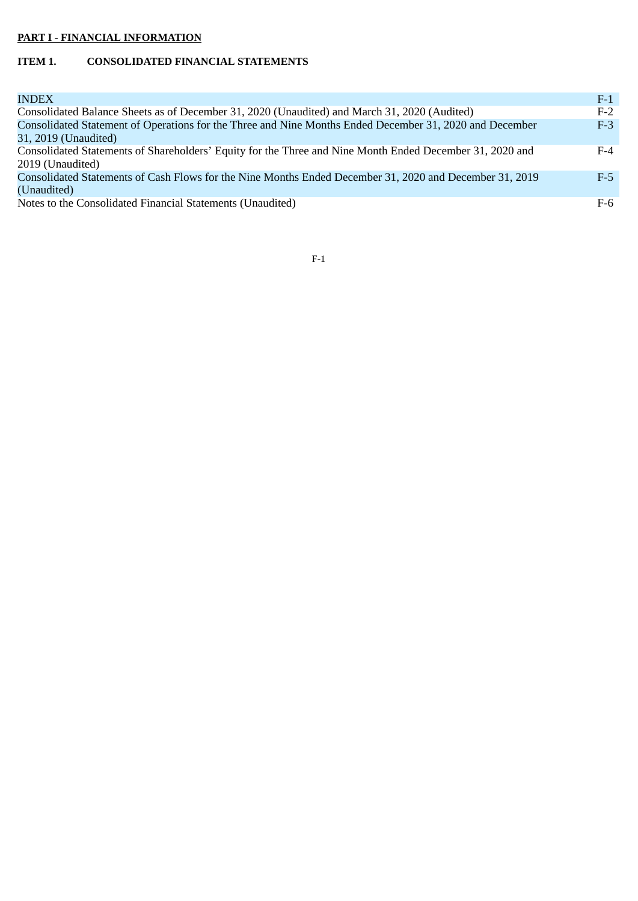# **PART I - FINANCIAL INFORMATION**

# **ITEM 1. CONSOLIDATED FINANCIAL STATEMENTS**

| <b>INDEX</b>                                                                                                                 | $F-1$ |
|------------------------------------------------------------------------------------------------------------------------------|-------|
| Consolidated Balance Sheets as of December 31, 2020 (Unaudited) and March 31, 2020 (Audited)                                 | $F-2$ |
| Consolidated Statement of Operations for the Three and Nine Months Ended December 31, 2020 and December                      | $F-3$ |
| 31, 2019 (Unaudited)                                                                                                         |       |
| Consolidated Statements of Shareholders' Equity for the Three and Nine Month Ended December 31, 2020 and<br>2019 (Unaudited) | $F-4$ |
| Consolidated Statements of Cash Flows for the Nine Months Ended December 31, 2020 and December 31, 2019                      | $F-5$ |
| (Unaudited)                                                                                                                  |       |
| Notes to the Consolidated Financial Statements (Unaudited)                                                                   | F-6   |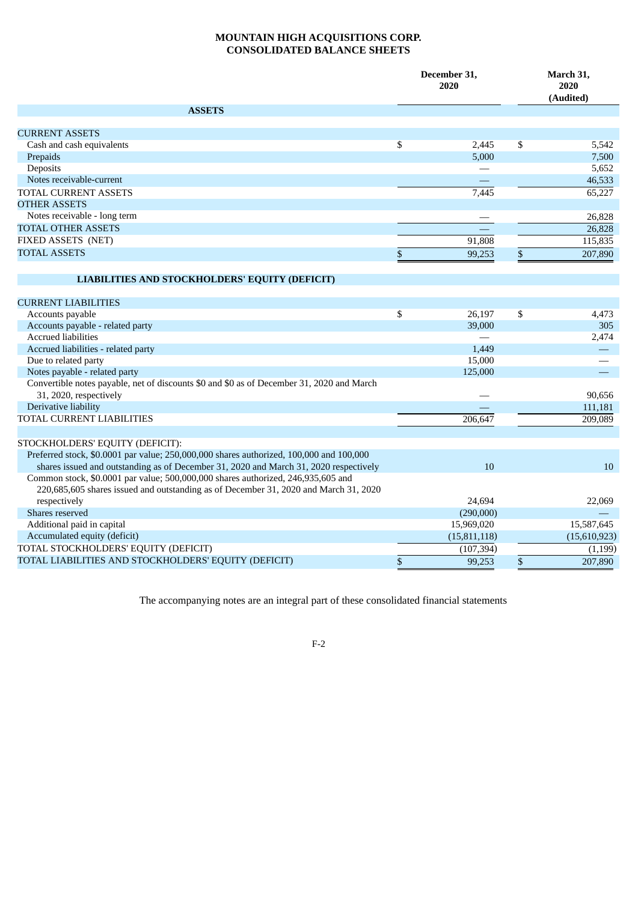## **MOUNTAIN HIGH ACQUISITIONS CORP. CONSOLIDATED BALANCE SHEETS**

|                                                                                           |                           | December 31,<br>2020 |                           | March 31,<br>2020<br>(Audited) |  |
|-------------------------------------------------------------------------------------------|---------------------------|----------------------|---------------------------|--------------------------------|--|
| <b>ASSETS</b>                                                                             |                           |                      |                           |                                |  |
| <b>CURRENT ASSETS</b>                                                                     |                           |                      |                           |                                |  |
| Cash and cash equivalents                                                                 | \$                        | 2,445                | \$                        | 5,542                          |  |
| Prepaids                                                                                  |                           | 5,000                |                           | 7,500                          |  |
| Deposits                                                                                  |                           |                      |                           | 5,652                          |  |
| Notes receivable-current                                                                  |                           |                      |                           | 46,533                         |  |
| <b>TOTAL CURRENT ASSETS</b>                                                               |                           | 7,445                |                           | 65,227                         |  |
| <b>OTHER ASSETS</b>                                                                       |                           |                      |                           |                                |  |
| Notes receivable - long term                                                              |                           |                      |                           | 26,828                         |  |
| <b>TOTAL OTHER ASSETS</b>                                                                 |                           |                      |                           | 26,828                         |  |
| FIXED ASSETS (NET)                                                                        |                           | 91,808               |                           | 115,835                        |  |
| <b>TOTAL ASSETS</b>                                                                       | \$                        | 99,253               | \$                        | 207,890                        |  |
|                                                                                           |                           |                      |                           |                                |  |
|                                                                                           |                           |                      |                           |                                |  |
| LIABILITIES AND STOCKHOLDERS' EQUITY (DEFICIT)                                            |                           |                      |                           |                                |  |
| <b>CURRENT LIABILITIES</b>                                                                |                           |                      |                           |                                |  |
| Accounts payable                                                                          | \$                        | 26,197               | \$                        | 4,473                          |  |
| Accounts payable - related party                                                          |                           | 39,000               |                           | 305                            |  |
| <b>Accrued liabilities</b>                                                                |                           |                      |                           | 2,474                          |  |
| Accrued liabilities - related party                                                       |                           | 1,449                |                           |                                |  |
| Due to related party                                                                      |                           | 15,000               |                           |                                |  |
| Notes payable - related party                                                             |                           | 125,000              |                           | $\overline{\phantom{0}}$       |  |
| Convertible notes payable, net of discounts \$0 and \$0 as of December 31, 2020 and March |                           |                      |                           |                                |  |
| 31, 2020, respectively                                                                    |                           |                      |                           | 90,656                         |  |
| Derivative liability                                                                      |                           |                      |                           | 111,181                        |  |
| TOTAL CURRENT LIABILITIES                                                                 |                           | 206,647              |                           | 209,089                        |  |
|                                                                                           |                           |                      |                           |                                |  |
| STOCKHOLDERS' EQUITY (DEFICIT):                                                           |                           |                      |                           |                                |  |
| Preferred stock, \$0.0001 par value; 250,000,000 shares authorized, 100,000 and 100,000   |                           |                      |                           |                                |  |
| shares issued and outstanding as of December 31, 2020 and March 31, 2020 respectively     |                           | 10                   |                           | 10                             |  |
| Common stock, \$0.0001 par value; 500,000,000 shares authorized, 246,935,605 and          |                           |                      |                           |                                |  |
| 220,685,605 shares issued and outstanding as of December 31, 2020 and March 31, 2020      |                           |                      |                           |                                |  |
| respectively                                                                              |                           | 24.694               |                           | 22,069                         |  |
| Shares reserved                                                                           |                           | (290,000)            |                           |                                |  |
| Additional paid in capital                                                                |                           | 15,969,020           |                           | 15,587,645                     |  |
| Accumulated equity (deficit)                                                              |                           | (15,811,118)         |                           | (15,610,923)                   |  |
| TOTAL STOCKHOLDERS' EQUITY (DEFICIT)                                                      |                           | (107, 394)           |                           | (1, 199)                       |  |
| TOTAL LIABILITIES AND STOCKHOLDERS' EQUITY (DEFICIT)                                      | $\boldsymbol{\mathsf{S}}$ | 99,253               | $\boldsymbol{\mathsf{S}}$ | 207,890                        |  |

The accompanying notes are an integral part of these consolidated financial statements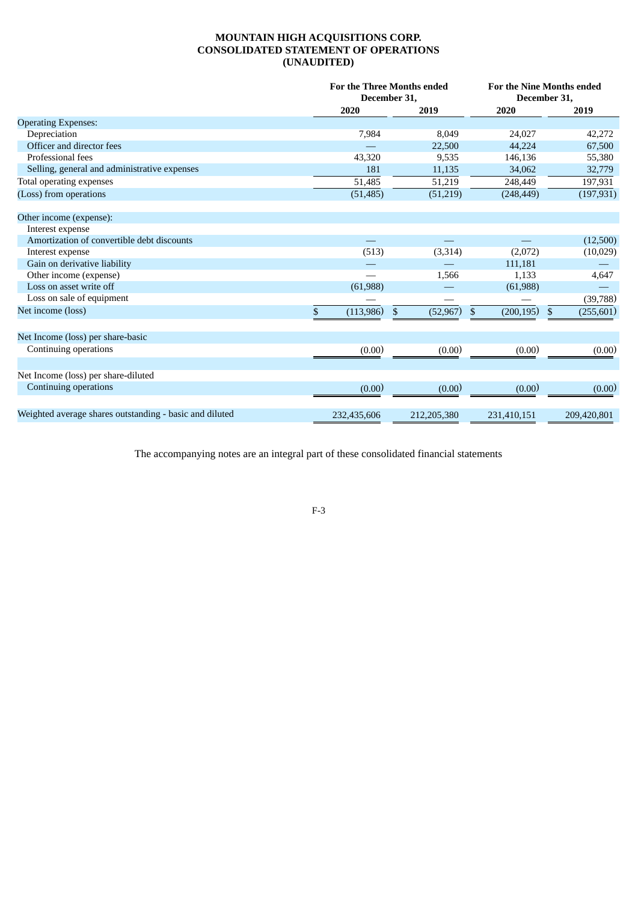## **MOUNTAIN HIGH ACQUISITIONS CORP. CONSOLIDATED STATEMENT OF OPERATIONS (UNAUDITED)**

|                                                         | For the Three Months ended<br>December 31, |                 | For the Nine Months ended<br>December 31, |                              |  |
|---------------------------------------------------------|--------------------------------------------|-----------------|-------------------------------------------|------------------------------|--|
|                                                         | 2020                                       | 2019            | 2020                                      | 2019                         |  |
| <b>Operating Expenses:</b>                              |                                            |                 |                                           |                              |  |
| Depreciation                                            | 7,984                                      | 8,049           | 24,027                                    | 42,272                       |  |
| Officer and director fees                               |                                            | 22,500          | 44,224                                    | 67,500                       |  |
| Professional fees                                       | 43,320                                     | 9,535           | 146,136                                   | 55,380                       |  |
| Selling, general and administrative expenses            | 181                                        | 11,135          | 34,062                                    | 32,779                       |  |
| Total operating expenses                                | 51,485                                     | 51,219          | 248,449                                   | 197,931                      |  |
| (Loss) from operations                                  | (51, 485)                                  | (51,219)        | (248, 449)                                | (197, 931)                   |  |
| Other income (expense):                                 |                                            |                 |                                           |                              |  |
| Interest expense                                        |                                            |                 |                                           |                              |  |
| Amortization of convertible debt discounts              |                                            |                 |                                           | (12,500)                     |  |
| Interest expense                                        | (513)                                      | (3, 314)        | (2,072)                                   | (10,029)                     |  |
| Gain on derivative liability                            |                                            |                 | 111,181                                   |                              |  |
| Other income (expense)                                  |                                            | 1,566           | 1.133                                     | 4,647                        |  |
| Loss on asset write off                                 | (61, 988)                                  |                 | (61,988)                                  |                              |  |
| Loss on sale of equipment                               |                                            |                 |                                           | (39,788)                     |  |
| Net income (loss)                                       | \$<br>(113,986)                            | \$<br>(52, 967) | (200, 195)<br>$\mathbf{\hat{S}}$          | $\mathfrak{S}$<br>(255, 601) |  |
| Net Income (loss) per share-basic                       |                                            |                 |                                           |                              |  |
| Continuing operations                                   | (0.00)                                     | (0.00)          | (0.00)                                    | (0.00)                       |  |
|                                                         |                                            |                 |                                           |                              |  |
| Net Income (loss) per share-diluted                     |                                            |                 |                                           |                              |  |
| Continuing operations                                   | (0.00)                                     | (0.00)          | (0.00)                                    | (0.00)                       |  |
| Weighted average shares outstanding - basic and diluted | 232,435,606                                | 212,205,380     | 231,410,151                               | 209,420,801                  |  |

The accompanying notes are an integral part of these consolidated financial statements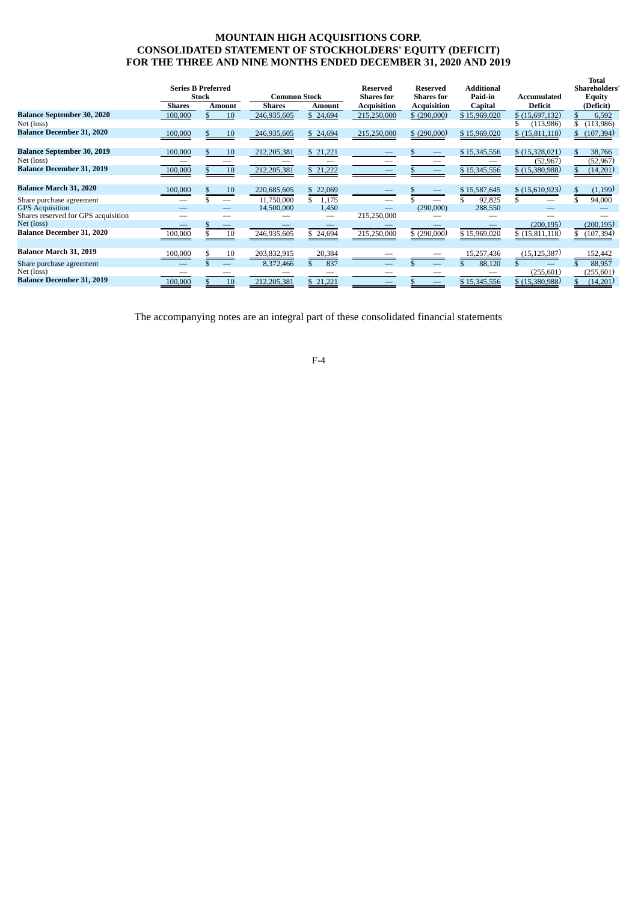## **MOUNTAIN HIGH ACQUISITIONS CORP. CONSOLIDATED STATEMENT OF STOCKHOLDERS' EQUITY (DEFICIT) FOR THE THREE AND NINE MONTHS ENDED DECEMBER 31, 2020 AND 2019**

|                                        |               | <b>Series B Preferred</b><br>Stock | <b>Common Stock</b> |                          | <b>Reserved</b><br><b>Shares for</b> | <b>Reserved</b><br><b>Shares</b> for | <b>Additional</b><br>Paid-in | Accumulated      | Total<br><b>Shareholders'</b><br><b>Equity</b> |
|----------------------------------------|---------------|------------------------------------|---------------------|--------------------------|--------------------------------------|--------------------------------------|------------------------------|------------------|------------------------------------------------|
|                                        | <b>Shares</b> | <b>Amount</b>                      | <b>Shares</b>       | Amount                   | Acquisition                          | <b>Acquisition</b>                   | Capital                      | <b>Deficit</b>   | (Deficit)                                      |
| <b>Balance September 30, 2020</b>      | 100,000       | 10                                 | 246,935,605         | \$24,694                 | 215,250,000                          | \$(290,000)                          | \$15,969,020                 | \$(15,697,132)   | 6,592                                          |
| Net (loss)                             |               |                                    |                     |                          |                                      |                                      |                              | (113,986)        | (113,986)                                      |
| <b>Balance December 31, 2020</b>       | 100,000       | 10                                 | 246,935,605         | \$24,694                 | 215,250,000                          | \$ (290,000)                         | \$15,969,020                 | \$(15,811,118)   | (107, 394)                                     |
| <b>Balance September 30, 2019</b>      | 100,000       | 10                                 | 212,205,381         | \$21,221                 |                                      |                                      | \$15,345,556                 | \$(15,328,021)   | 38,766<br>S.                                   |
| Net (loss)                             |               |                                    |                     |                          |                                      |                                      |                              | (52, 967)        | (52, 967)                                      |
| <b>Balance December 31, 2019</b>       | 100,000       | 10                                 | 212,205,381         | \$21,222                 |                                      |                                      | \$15,345,556                 | \$(15,380,988)   | (14,201)                                       |
| <b>Balance March 31, 2020</b>          | 100,000       | 10                                 | 220,685,605         | \$22,069                 |                                      |                                      | \$15,587,645                 | \$(15,610,923)   | (1,199)                                        |
| Share purchase agreement               |               |                                    | 11,750,000          | 1,175                    |                                      |                                      | 92.825                       |                  | 94,000                                         |
| <b>GPS</b> Acquisition                 |               |                                    | 14,500,000          | 1,450                    |                                      | (290,000)                            | 288,550                      |                  |                                                |
| Shares reserved for GPS acquisition    |               |                                    |                     | $\overline{\phantom{0}}$ | 215,250,000                          |                                      |                              |                  |                                                |
| Net (loss)                             |               |                                    |                     |                          |                                      |                                      |                              | (200, 195)       | (200, 195)                                     |
| <b>Balance December 31, 2020</b>       | 100,000       | 10                                 | 246,935,605         | \$24,694                 | 215,250,000                          | \$(290,000)                          | \$15,969,020                 | \$(15,811,118)   | (107, 394)                                     |
| Balance March 31, 2019                 | 100,000       | 10                                 | 203,832,915         | 20,384                   |                                      |                                      | 15,257,436                   | (15, 125, 387)   | 152,442                                        |
| Share purchase agreement<br>Net (loss) |               | $\overline{\phantom{m}}$           | 8,372,466           | 837<br>\$.               |                                      |                                      | 88,120                       | (255,601)        | 88,957<br>(255,601)                            |
| <b>Balance December 31, 2019</b>       | 100,000       | 10                                 | 212,205,381         | \$21,221                 |                                      |                                      | \$15,345,556                 | $$$ (15,380,988) | (14,201)                                       |

The accompanying notes are an integral part of these consolidated financial statements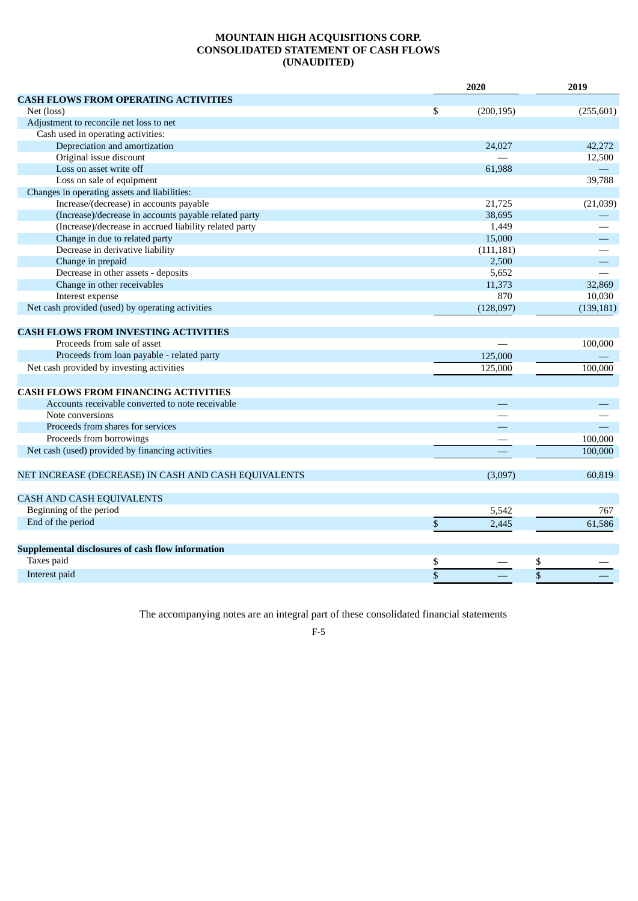## **MOUNTAIN HIGH ACQUISITIONS CORP. CONSOLIDATED STATEMENT OF CASH FLOWS (UNAUDITED)**

|                                                        | 2020             | 2019 |            |
|--------------------------------------------------------|------------------|------|------------|
| <b>CASH FLOWS FROM OPERATING ACTIVITIES</b>            |                  |      |            |
| Net (loss)                                             | \$<br>(200, 195) |      | (255, 601) |
| Adjustment to reconcile net loss to net                |                  |      |            |
| Cash used in operating activities:                     |                  |      |            |
| Depreciation and amortization                          | 24,027           |      | 42,272     |
| Original issue discount                                |                  |      | 12,500     |
| Loss on asset write off                                | 61,988           |      |            |
| Loss on sale of equipment                              |                  |      | 39,788     |
| Changes in operating assets and liabilities:           |                  |      |            |
| Increase/(decrease) in accounts payable                | 21,725           |      | (21,039)   |
| (Increase)/decrease in accounts payable related party  | 38,695           |      |            |
| (Increase)/decrease in accrued liability related party | 1,449            |      |            |
| Change in due to related party                         | 15,000           |      |            |
| Decrease in derivative liability                       | (111, 181)       |      |            |
| Change in prepaid                                      | 2,500            |      |            |
| Decrease in other assets - deposits                    | 5,652            |      |            |
| Change in other receivables                            | 11,373           |      | 32,869     |
| Interest expense                                       | 870              |      | 10,030     |
| Net cash provided (used) by operating activities       | (128,097)        |      | (139, 181) |
|                                                        |                  |      |            |
| <b>CASH FLOWS FROM INVESTING ACTIVITIES</b>            |                  |      |            |
| Proceeds from sale of asset                            |                  |      | 100,000    |
| Proceeds from loan payable - related party             | 125,000          |      |            |
| Net cash provided by investing activities              | 125,000          |      | 100,000    |
|                                                        |                  |      |            |
| <b>CASH FLOWS FROM FINANCING ACTIVITIES</b>            |                  |      |            |
| Accounts receivable converted to note receivable       |                  |      |            |
| Note conversions                                       |                  |      |            |
| Proceeds from shares for services                      |                  |      |            |
| Proceeds from borrowings                               |                  |      | 100,000    |
| Net cash (used) provided by financing activities       |                  |      | 100,000    |
|                                                        |                  |      |            |
| NET INCREASE (DECREASE) IN CASH AND CASH EQUIVALENTS   | (3,097)          |      | 60,819     |
|                                                        |                  |      |            |
| CASH AND CASH EQUIVALENTS                              |                  |      |            |
| Beginning of the period                                | 5,542            |      | 767        |
| End of the period                                      | \$<br>2,445      |      | 61,586     |
|                                                        |                  |      |            |
| Supplemental disclosures of cash flow information      |                  |      |            |
| Taxes paid                                             | \$               | \$   |            |
| Interest paid                                          |                  |      |            |
|                                                        |                  |      |            |

The accompanying notes are an integral part of these consolidated financial statements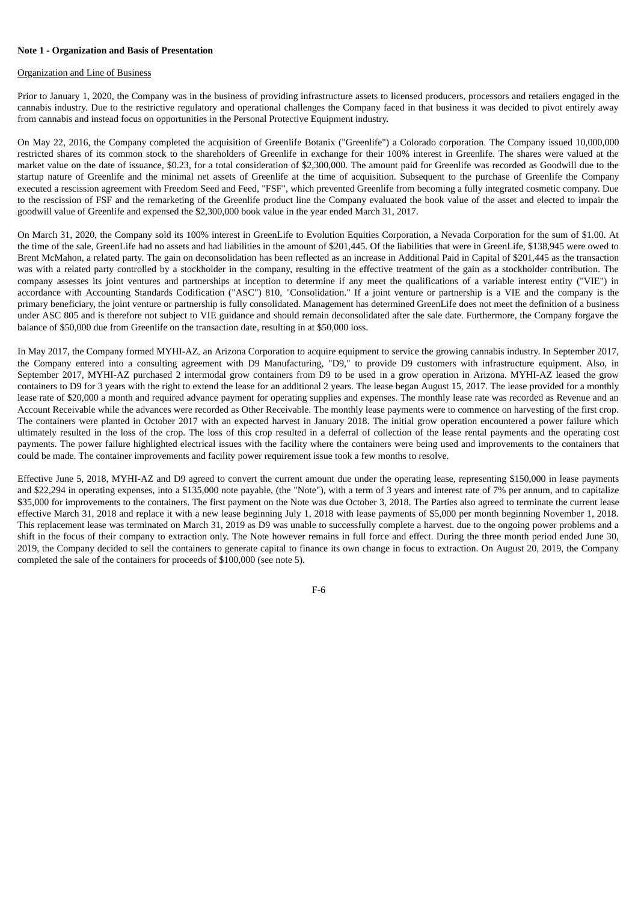## **Note 1 - Organization and Basis of Presentation**

#### Organization and Line of Business

Prior to January 1, 2020, the Company was in the business of providing infrastructure assets to licensed producers, processors and retailers engaged in the cannabis industry. Due to the restrictive regulatory and operational challenges the Company faced in that business it was decided to pivot entirely away from cannabis and instead focus on opportunities in the Personal Protective Equipment industry.

On May 22, 2016, the Company completed the acquisition of Greenlife Botanix ("Greenlife") a Colorado corporation. The Company issued 10,000,000 restricted shares of its common stock to the shareholders of Greenlife in exchange for their 100% interest in Greenlife. The shares were valued at the market value on the date of issuance, \$0.23, for a total consideration of \$2,300,000. The amount paid for Greenlife was recorded as Goodwill due to the startup nature of Greenlife and the minimal net assets of Greenlife at the time of acquisition. Subsequent to the purchase of Greenlife the Company executed a rescission agreement with Freedom Seed and Feed, "FSF", which prevented Greenlife from becoming a fully integrated cosmetic company. Due to the rescission of FSF and the remarketing of the Greenlife product line the Company evaluated the book value of the asset and elected to impair the goodwill value of Greenlife and expensed the \$2,300,000 book value in the year ended March 31, 2017.

On March 31, 2020, the Company sold its 100% interest in GreenLife to Evolution Equities Corporation, a Nevada Corporation for the sum of \$1.00. At the time of the sale, GreenLife had no assets and had liabilities in the amount of \$201,445. Of the liabilities that were in GreenLife, \$138,945 were owed to Brent McMahon, a related party. The gain on deconsolidation has been reflected as an increase in Additional Paid in Capital of \$201,445 as the transaction was with a related party controlled by a stockholder in the company, resulting in the effective treatment of the gain as a stockholder contribution. The company assesses its joint ventures and partnerships at inception to determine if any meet the qualifications of a variable interest entity ("VIE") in accordance with Accounting Standards Codification ("ASC") 810, "Consolidation." If a joint venture or partnership is a VIE and the company is the primary beneficiary, the joint venture or partnership is fully consolidated. Management has determined GreenLife does not meet the definition of a business under ASC 805 and is therefore not subject to VIE guidance and should remain deconsolidated after the sale date. Furthermore, the Company forgave the balance of \$50,000 due from Greenlife on the transaction date, resulting in at \$50,000 loss.

In May 2017, the Company formed MYHI-AZ, an Arizona Corporation to acquire equipment to service the growing cannabis industry. In September 2017, the Company entered into a consulting agreement with D9 Manufacturing, "D9," to provide D9 customers with infrastructure equipment. Also, in September 2017, MYHI-AZ purchased 2 intermodal grow containers from D9 to be used in a grow operation in Arizona. MYHI-AZ leased the grow containers to D9 for 3 years with the right to extend the lease for an additional 2 years. The lease began August 15, 2017. The lease provided for a monthly lease rate of \$20,000 a month and required advance payment for operating supplies and expenses. The monthly lease rate was recorded as Revenue and an Account Receivable while the advances were recorded as Other Receivable. The monthly lease payments were to commence on harvesting of the first crop. The containers were planted in October 2017 with an expected harvest in January 2018. The initial grow operation encountered a power failure which ultimately resulted in the loss of the crop. The loss of this crop resulted in a deferral of collection of the lease rental payments and the operating cost payments. The power failure highlighted electrical issues with the facility where the containers were being used and improvements to the containers that could be made. The container improvements and facility power requirement issue took a few months to resolve.

Effective June 5, 2018, MYHI-AZ and D9 agreed to convert the current amount due under the operating lease, representing \$150,000 in lease payments and \$22,294 in operating expenses, into a \$135,000 note payable, (the "Note"), with a term of 3 years and interest rate of 7% per annum, and to capitalize \$35,000 for improvements to the containers. The first payment on the Note was due October 3, 2018. The Parties also agreed to terminate the current lease effective March 31, 2018 and replace it with a new lease beginning July 1, 2018 with lease payments of \$5,000 per month beginning November 1, 2018. This replacement lease was terminated on March 31, 2019 as D9 was unable to successfully complete a harvest. due to the ongoing power problems and a shift in the focus of their company to extraction only. The Note however remains in full force and effect. During the three month period ended June 30, 2019, the Company decided to sell the containers to generate capital to finance its own change in focus to extraction. On August 20, 2019, the Company completed the sale of the containers for proceeds of \$100,000 (see note 5).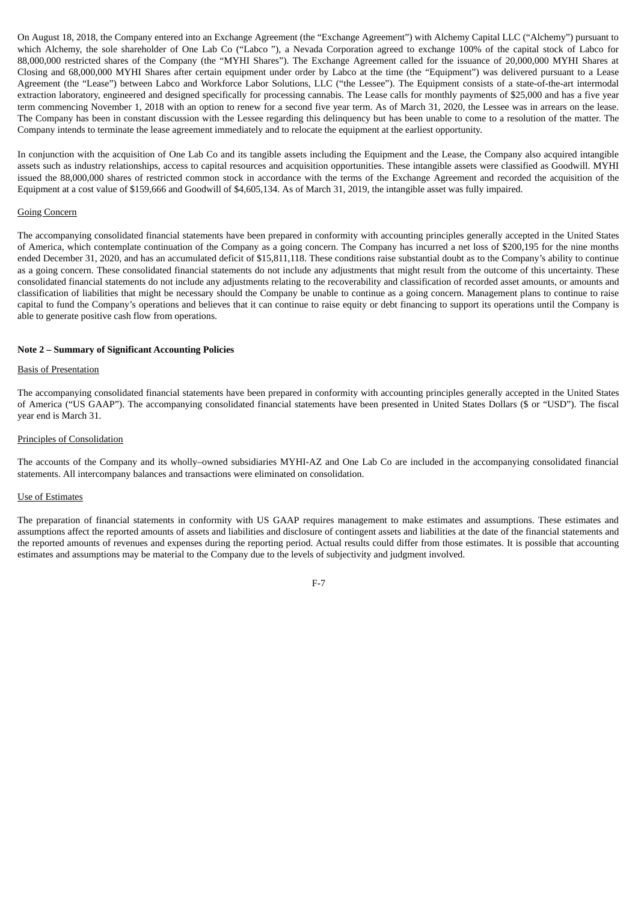On August 18, 2018, the Company entered into an Exchange Agreement (the "Exchange Agreement") with Alchemy Capital LLC ("Alchemy") pursuant to which Alchemy, the sole shareholder of One Lab Co ("Labco "), a Nevada Corporation agreed to exchange 100% of the capital stock of Labco for 88,000,000 restricted shares of the Company (the "MYHI Shares"). The Exchange Agreement called for the issuance of 20,000,000 MYHI Shares at Closing and 68,000,000 MYHI Shares after certain equipment under order by Labco at the time (the "Equipment") was delivered pursuant to a Lease Agreement (the "Lease") between Labco and Workforce Labor Solutions, LLC ("the Lessee"). The Equipment consists of a state-of-the-art intermodal extraction laboratory, engineered and designed specifically for processing cannabis. The Lease calls for monthly payments of \$25,000 and has a five year term commencing November 1, 2018 with an option to renew for a second five year term. As of March 31, 2020, the Lessee was in arrears on the lease. The Company has been in constant discussion with the Lessee regarding this delinquency but has been unable to come to a resolution of the matter. The Company intends to terminate the lease agreement immediately and to relocate the equipment at the earliest opportunity.

In conjunction with the acquisition of One Lab Co and its tangible assets including the Equipment and the Lease, the Company also acquired intangible assets such as industry relationships, access to capital resources and acquisition opportunities. These intangible assets were classified as Goodwill. MYHI issued the 88,000,000 shares of restricted common stock in accordance with the terms of the Exchange Agreement and recorded the acquisition of the Equipment at a cost value of \$159,666 and Goodwill of \$4,605,134. As of March 31, 2019, the intangible asset was fully impaired.

#### Going Concern

The accompanying consolidated financial statements have been prepared in conformity with accounting principles generally accepted in the United States of America, which contemplate continuation of the Company as a going concern. The Company has incurred a net loss of \$200,195 for the nine months ended December 31, 2020, and has an accumulated deficit of \$15,811,118. These conditions raise substantial doubt as to the Company's ability to continue as a going concern. These consolidated financial statements do not include any adjustments that might result from the outcome of this uncertainty. These consolidated financial statements do not include any adjustments relating to the recoverability and classification of recorded asset amounts, or amounts and classification of liabilities that might be necessary should the Company be unable to continue as a going concern. Management plans to continue to raise capital to fund the Company's operations and believes that it can continue to raise equity or debt financing to support its operations until the Company is able to generate positive cash flow from operations.

#### **Note 2 – Summary of Significant Accounting Policies**

## Basis of Presentation

The accompanying consolidated financial statements have been prepared in conformity with accounting principles generally accepted in the United States of America ("US GAAP"). The accompanying consolidated financial statements have been presented in United States Dollars (\$ or "USD"). The fiscal year end is March 31.

### Principles of Consolidation

The accounts of the Company and its wholly–owned subsidiaries MYHI-AZ and One Lab Co are included in the accompanying consolidated financial statements. All intercompany balances and transactions were eliminated on consolidation.

#### Use of Estimates

The preparation of financial statements in conformity with US GAAP requires management to make estimates and assumptions. These estimates and assumptions affect the reported amounts of assets and liabilities and disclosure of contingent assets and liabilities at the date of the financial statements and the reported amounts of revenues and expenses during the reporting period. Actual results could differ from those estimates. It is possible that accounting estimates and assumptions may be material to the Company due to the levels of subjectivity and judgment involved.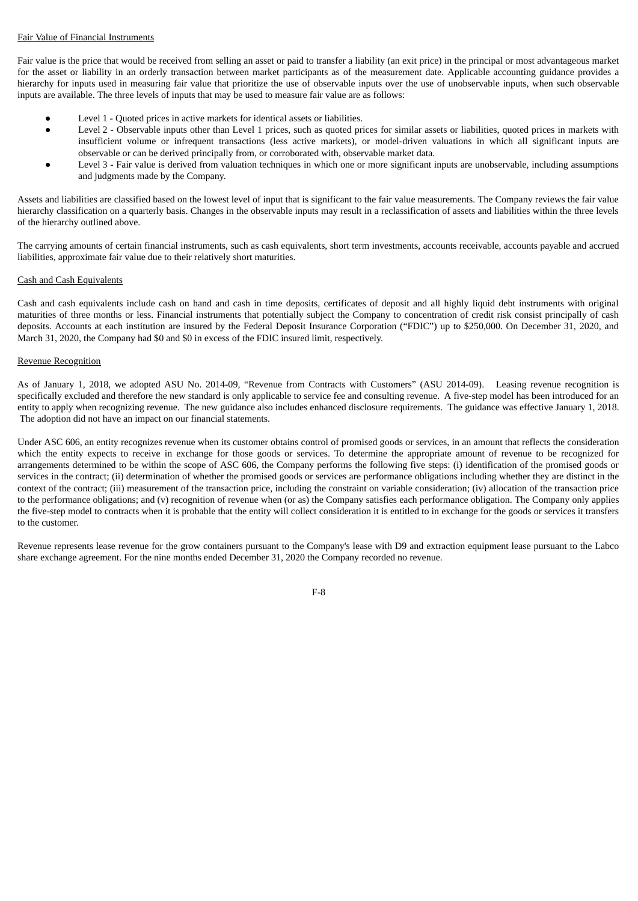## Fair Value of Financial Instruments

Fair value is the price that would be received from selling an asset or paid to transfer a liability (an exit price) in the principal or most advantageous market for the asset or liability in an orderly transaction between market participants as of the measurement date. Applicable accounting guidance provides a hierarchy for inputs used in measuring fair value that prioritize the use of observable inputs over the use of unobservable inputs, when such observable inputs are available. The three levels of inputs that may be used to measure fair value are as follows:

- Level 1 Quoted prices in active markets for identical assets or liabilities.
- Level 2 Observable inputs other than Level 1 prices, such as quoted prices for similar assets or liabilities, quoted prices in markets with insufficient volume or infrequent transactions (less active markets), or model-driven valuations in which all significant inputs are observable or can be derived principally from, or corroborated with, observable market data.
- Level 3 Fair value is derived from valuation techniques in which one or more significant inputs are unobservable, including assumptions and judgments made by the Company.

Assets and liabilities are classified based on the lowest level of input that is significant to the fair value measurements. The Company reviews the fair value hierarchy classification on a quarterly basis. Changes in the observable inputs may result in a reclassification of assets and liabilities within the three levels of the hierarchy outlined above.

The carrying amounts of certain financial instruments, such as cash equivalents, short term investments, accounts receivable, accounts payable and accrued liabilities, approximate fair value due to their relatively short maturities.

## Cash and Cash Equivalents

Cash and cash equivalents include cash on hand and cash in time deposits, certificates of deposit and all highly liquid debt instruments with original maturities of three months or less. Financial instruments that potentially subject the Company to concentration of credit risk consist principally of cash deposits. Accounts at each institution are insured by the Federal Deposit Insurance Corporation ("FDIC") up to \$250,000. On December 31, 2020, and March 31, 2020, the Company had \$0 and \$0 in excess of the FDIC insured limit, respectively.

## Revenue Recognition

As of January 1, 2018, we adopted ASU No. 2014-09, "Revenue from Contracts with Customers" (ASU 2014-09). Leasing revenue recognition is specifically excluded and therefore the new standard is only applicable to service fee and consulting revenue. A five-step model has been introduced for an entity to apply when recognizing revenue. The new guidance also includes enhanced disclosure requirements. The guidance was effective January 1, 2018. The adoption did not have an impact on our financial statements.

Under ASC 606, an entity recognizes revenue when its customer obtains control of promised goods or services, in an amount that reflects the consideration which the entity expects to receive in exchange for those goods or services. To determine the appropriate amount of revenue to be recognized for arrangements determined to be within the scope of ASC 606, the Company performs the following five steps: (i) identification of the promised goods or services in the contract; (ii) determination of whether the promised goods or services are performance obligations including whether they are distinct in the context of the contract; (iii) measurement of the transaction price, including the constraint on variable consideration; (iv) allocation of the transaction price to the performance obligations; and (v) recognition of revenue when (or as) the Company satisfies each performance obligation. The Company only applies the five-step model to contracts when it is probable that the entity will collect consideration it is entitled to in exchange for the goods or services it transfers to the customer.

Revenue represents lease revenue for the grow containers pursuant to the Company's lease with D9 and extraction equipment lease pursuant to the Labco share exchange agreement. For the nine months ended December 31, 2020 the Company recorded no revenue.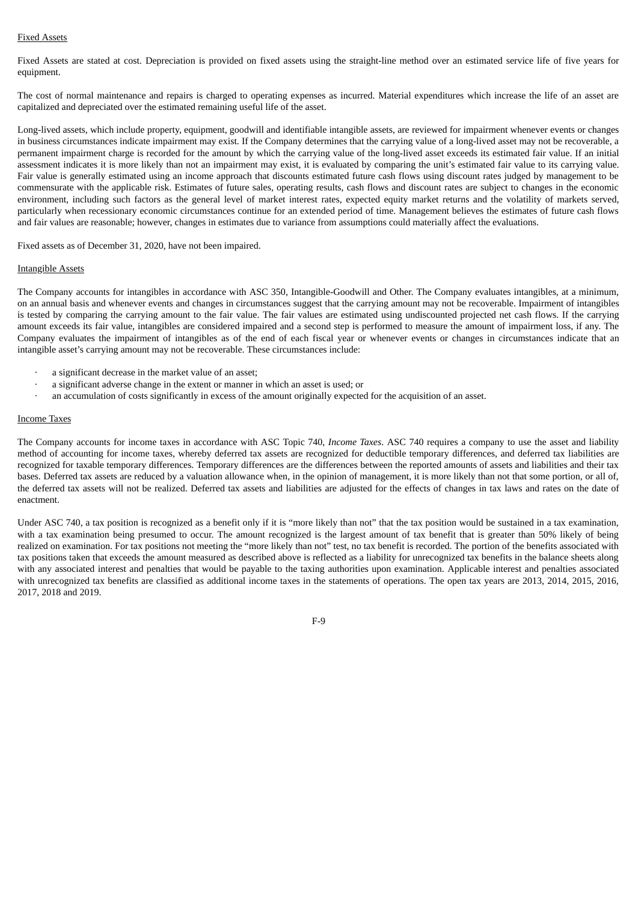## Fixed Assets

Fixed Assets are stated at cost. Depreciation is provided on fixed assets using the straight-line method over an estimated service life of five years for equipment.

The cost of normal maintenance and repairs is charged to operating expenses as incurred. Material expenditures which increase the life of an asset are capitalized and depreciated over the estimated remaining useful life of the asset.

Long-lived assets, which include property, equipment, goodwill and identifiable intangible assets, are reviewed for impairment whenever events or changes in business circumstances indicate impairment may exist. If the Company determines that the carrying value of a long-lived asset may not be recoverable, a permanent impairment charge is recorded for the amount by which the carrying value of the long-lived asset exceeds its estimated fair value. If an initial assessment indicates it is more likely than not an impairment may exist, it is evaluated by comparing the unit's estimated fair value to its carrying value. Fair value is generally estimated using an income approach that discounts estimated future cash flows using discount rates judged by management to be commensurate with the applicable risk. Estimates of future sales, operating results, cash flows and discount rates are subject to changes in the economic environment, including such factors as the general level of market interest rates, expected equity market returns and the volatility of markets served, particularly when recessionary economic circumstances continue for an extended period of time. Management believes the estimates of future cash flows and fair values are reasonable; however, changes in estimates due to variance from assumptions could materially affect the evaluations.

Fixed assets as of December 31, 2020, have not been impaired.

#### Intangible Assets

The Company accounts for intangibles in accordance with ASC 350, Intangible-Goodwill and Other. The Company evaluates intangibles, at a minimum, on an annual basis and whenever events and changes in circumstances suggest that the carrying amount may not be recoverable. Impairment of intangibles is tested by comparing the carrying amount to the fair value. The fair values are estimated using undiscounted projected net cash flows. If the carrying amount exceeds its fair value, intangibles are considered impaired and a second step is performed to measure the amount of impairment loss, if any. The Company evaluates the impairment of intangibles as of the end of each fiscal year or whenever events or changes in circumstances indicate that an intangible asset's carrying amount may not be recoverable. These circumstances include:

- a significant decrease in the market value of an asset:
- · a significant adverse change in the extent or manner in which an asset is used; or
- · an accumulation of costs significantly in excess of the amount originally expected for the acquisition of an asset.

#### Income Taxes

The Company accounts for income taxes in accordance with ASC Topic 740, *Income Taxes*. ASC 740 requires a company to use the asset and liability method of accounting for income taxes, whereby deferred tax assets are recognized for deductible temporary differences, and deferred tax liabilities are recognized for taxable temporary differences. Temporary differences are the differences between the reported amounts of assets and liabilities and their tax bases. Deferred tax assets are reduced by a valuation allowance when, in the opinion of management, it is more likely than not that some portion, or all of, the deferred tax assets will not be realized. Deferred tax assets and liabilities are adjusted for the effects of changes in tax laws and rates on the date of enactment.

Under ASC 740, a tax position is recognized as a benefit only if it is "more likely than not" that the tax position would be sustained in a tax examination, with a tax examination being presumed to occur. The amount recognized is the largest amount of tax benefit that is greater than 50% likely of being realized on examination. For tax positions not meeting the "more likely than not" test, no tax benefit is recorded. The portion of the benefits associated with tax positions taken that exceeds the amount measured as described above is reflected as a liability for unrecognized tax benefits in the balance sheets along with any associated interest and penalties that would be payable to the taxing authorities upon examination. Applicable interest and penalties associated with unrecognized tax benefits are classified as additional income taxes in the statements of operations. The open tax years are 2013, 2014, 2015, 2016, 2017, 2018 and 2019.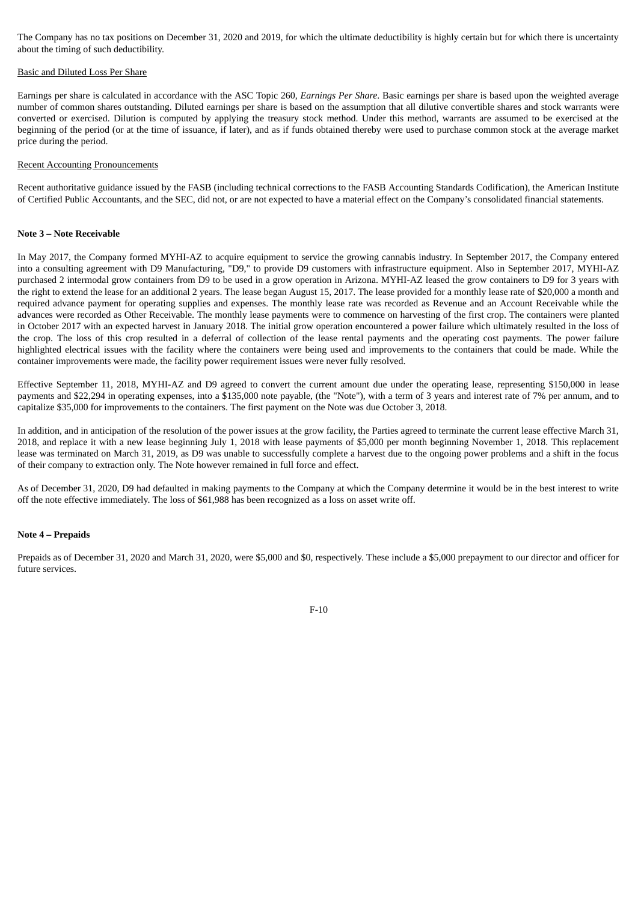The Company has no tax positions on December 31, 2020 and 2019, for which the ultimate deductibility is highly certain but for which there is uncertainty about the timing of such deductibility.

#### Basic and Diluted Loss Per Share

Earnings per share is calculated in accordance with the ASC Topic 260, *Earnings Per Share*. Basic earnings per share is based upon the weighted average number of common shares outstanding. Diluted earnings per share is based on the assumption that all dilutive convertible shares and stock warrants were converted or exercised. Dilution is computed by applying the treasury stock method. Under this method, warrants are assumed to be exercised at the beginning of the period (or at the time of issuance, if later), and as if funds obtained thereby were used to purchase common stock at the average market price during the period.

#### Recent Accounting Pronouncements

Recent authoritative guidance issued by the FASB (including technical corrections to the FASB Accounting Standards Codification), the American Institute of Certified Public Accountants, and the SEC, did not, or are not expected to have a material effect on the Company's consolidated financial statements.

#### **Note 3 – Note Receivable**

In May 2017, the Company formed MYHI-AZ to acquire equipment to service the growing cannabis industry. In September 2017, the Company entered into a consulting agreement with D9 Manufacturing, "D9," to provide D9 customers with infrastructure equipment. Also in September 2017, MYHI-AZ purchased 2 intermodal grow containers from D9 to be used in a grow operation in Arizona. MYHI-AZ leased the grow containers to D9 for 3 years with the right to extend the lease for an additional 2 years. The lease began August 15, 2017. The lease provided for a monthly lease rate of \$20,000 a month and required advance payment for operating supplies and expenses. The monthly lease rate was recorded as Revenue and an Account Receivable while the advances were recorded as Other Receivable. The monthly lease payments were to commence on harvesting of the first crop. The containers were planted in October 2017 with an expected harvest in January 2018. The initial grow operation encountered a power failure which ultimately resulted in the loss of the crop. The loss of this crop resulted in a deferral of collection of the lease rental payments and the operating cost payments. The power failure highlighted electrical issues with the facility where the containers were being used and improvements to the containers that could be made. While the container improvements were made, the facility power requirement issues were never fully resolved.

Effective September 11, 2018, MYHI-AZ and D9 agreed to convert the current amount due under the operating lease, representing \$150,000 in lease payments and \$22,294 in operating expenses, into a \$135,000 note payable, (the "Note"), with a term of 3 years and interest rate of 7% per annum, and to capitalize \$35,000 for improvements to the containers. The first payment on the Note was due October 3, 2018.

In addition, and in anticipation of the resolution of the power issues at the grow facility, the Parties agreed to terminate the current lease effective March 31, 2018, and replace it with a new lease beginning July 1, 2018 with lease payments of \$5,000 per month beginning November 1, 2018. This replacement lease was terminated on March 31, 2019, as D9 was unable to successfully complete a harvest due to the ongoing power problems and a shift in the focus of their company to extraction only. The Note however remained in full force and effect.

As of December 31, 2020, D9 had defaulted in making payments to the Company at which the Company determine it would be in the best interest to write off the note effective immediately. The loss of \$61,988 has been recognized as a loss on asset write off.

#### **Note 4 – Prepaids**

Prepaids as of December 31, 2020 and March 31, 2020, were \$5,000 and \$0, respectively. These include a \$5,000 prepayment to our director and officer for future services.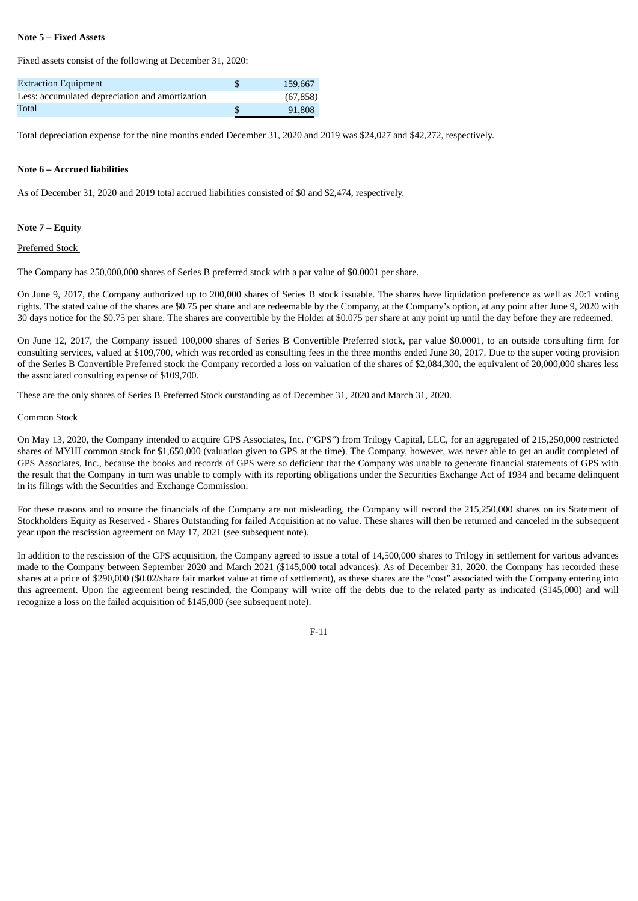## **Note 5 – Fixed Assets**

Fixed assets consist of the following at December 31, 2020:

| <b>Extraction Equipment</b>                     | 159,667  |
|-------------------------------------------------|----------|
| Less: accumulated depreciation and amortization | (67.858) |
| Total                                           | 91.808   |

Total depreciation expense for the nine months ended December 31, 2020 and 2019 was \$24,027 and \$42,272, respectively.

#### **Note 6 – Accrued liabilities**

As of December 31, 2020 and 2019 total accrued liabilities consisted of \$0 and \$2,474, respectively.

## **Note 7 – Equity**

### Preferred Stock

The Company has 250,000,000 shares of Series B preferred stock with a par value of \$0.0001 per share.

On June 9, 2017, the Company authorized up to 200,000 shares of Series B stock issuable. The shares have liquidation preference as well as 20:1 voting rights. The stated value of the shares are \$0.75 per share and are redeemable by the Company, at the Company's option, at any point after June 9, 2020 with 30 days notice for the \$0.75 per share. The shares are convertible by the Holder at \$0.075 per share at any point up until the day before they are redeemed.

On June 12, 2017, the Company issued 100,000 shares of Series B Convertible Preferred stock, par value \$0.0001, to an outside consulting firm for consulting services, valued at \$109,700, which was recorded as consulting fees in the three months ended June 30, 2017. Due to the super voting provision of the Series B Convertible Preferred stock the Company recorded a loss on valuation of the shares of \$2,084,300, the equivalent of 20,000,000 shares less the associated consulting expense of \$109,700.

These are the only shares of Series B Preferred Stock outstanding as of December 31, 2020 and March 31, 2020.

#### Common Stock

On May 13, 2020, the Company intended to acquire GPS Associates, Inc. ("GPS") from Trilogy Capital, LLC, for an aggregated of 215,250,000 restricted shares of MYHI common stock for \$1,650,000 (valuation given to GPS at the time). The Company, however, was never able to get an audit completed of GPS Associates, Inc., because the books and records of GPS were so deficient that the Company was unable to generate financial statements of GPS with the result that the Company in turn was unable to comply with its reporting obligations under the Securities Exchange Act of 1934 and became delinquent in its filings with the Securities and Exchange Commission.

For these reasons and to ensure the financials of the Company are not misleading, the Company will record the 215,250,000 shares on its Statement of Stockholders Equity as Reserved - Shares Outstanding for failed Acquisition at no value. These shares will then be returned and canceled in the subsequent year upon the rescission agreement on May 17, 2021 (see subsequent note).

In addition to the rescission of the GPS acquisition, the Company agreed to issue a total of 14,500,000 shares to Trilogy in settlement for various advances made to the Company between September 2020 and March 2021 (\$145,000 total advances). As of December 31, 2020. the Company has recorded these shares at a price of \$290,000 (\$0.02/share fair market value at time of settlement), as these shares are the "cost" associated with the Company entering into this agreement. Upon the agreement being rescinded, the Company will write off the debts due to the related party as indicated (\$145,000) and will recognize a loss on the failed acquisition of \$145,000 (see subsequent note).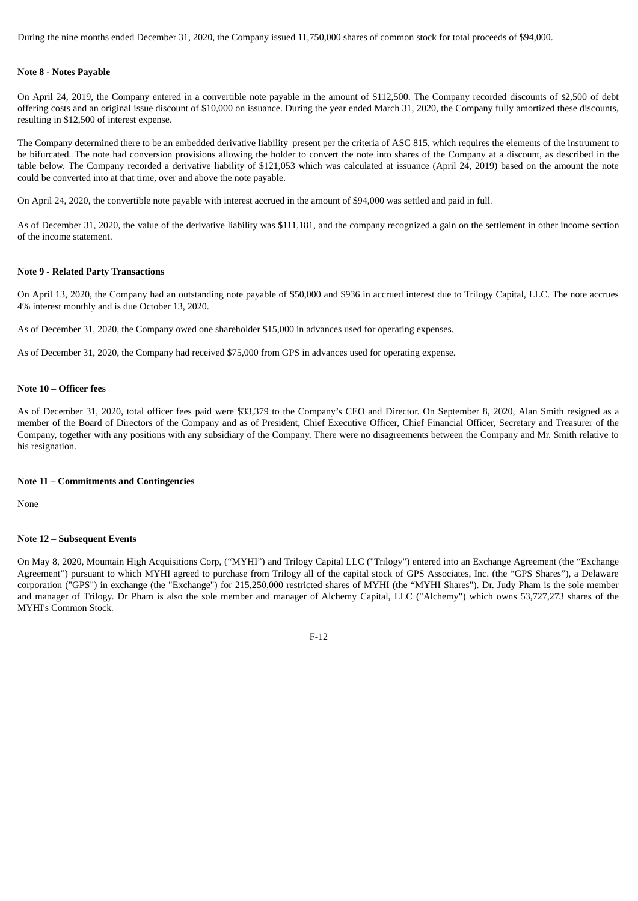During the nine months ended December 31, 2020, the Company issued 11,750,000 shares of common stock for total proceeds of \$94,000.

#### **Note 8 - Notes Payable**

On April 24, 2019, the Company entered in a convertible note payable in the amount of \$112,500. The Company recorded discounts of \$2,500 of debt offering costs and an original issue discount of \$10,000 on issuance. During the year ended March 31, 2020, the Company fully amortized these discounts, resulting in \$12,500 of interest expense.

The Company determined there to be an embedded derivative liability present per the criteria of ASC 815, which requires the elements of the instrument to be bifurcated. The note had conversion provisions allowing the holder to convert the note into shares of the Company at a discount, as described in the table below. The Company recorded a derivative liability of \$121,053 which was calculated at issuance (April 24, 2019) based on the amount the note could be converted into at that time, over and above the note payable.

On April 24, 2020, the convertible note payable with interest accrued in the amount of \$94,000 was settled and paid in full.

As of December 31, 2020, the value of the derivative liability was \$111,181, and the company recognized a gain on the settlement in other income section of the income statement.

#### **Note 9 - Related Party Transactions**

On April 13, 2020, the Company had an outstanding note payable of \$50,000 and \$936 in accrued interest due to Trilogy Capital, LLC. The note accrues 4% interest monthly and is due October 13, 2020.

As of December 31, 2020, the Company owed one shareholder \$15,000 in advances used for operating expenses.

As of December 31, 2020, the Company had received \$75,000 from GPS in advances used for operating expense.

## **Note 10 – Officer fees**

As of December 31, 2020, total officer fees paid were \$33,379 to the Company's CEO and Director. On September 8, 2020, Alan Smith resigned as a member of the Board of Directors of the Company and as of President, Chief Executive Officer, Chief Financial Officer, Secretary and Treasurer of the Company, together with any positions with any subsidiary of the Company. There were no disagreements between the Company and Mr. Smith relative to his resignation.

#### **Note 11 – Commitments and Contingencies**

None

#### **Note 12 – Subsequent Events**

On May 8, 2020, Mountain High Acquisitions Corp, ("MYHI") and Trilogy Capital LLC ("Trilogy") entered into an Exchange Agreement (the "Exchange Agreement") pursuant to which MYHI agreed to purchase from Trilogy all of the capital stock of GPS Associates, Inc. (the "GPS Shares"), a Delaware corporation ("GPS") in exchange (the "Exchange") for 215,250,000 restricted shares of MYHI (the "MYHI Shares"). Dr. Judy Pham is the sole member and manager of Trilogy. Dr Pham is also the sole member and manager of Alchemy Capital, LLC ("Alchemy") which owns 53,727,273 shares of the MYHI's Common Stock.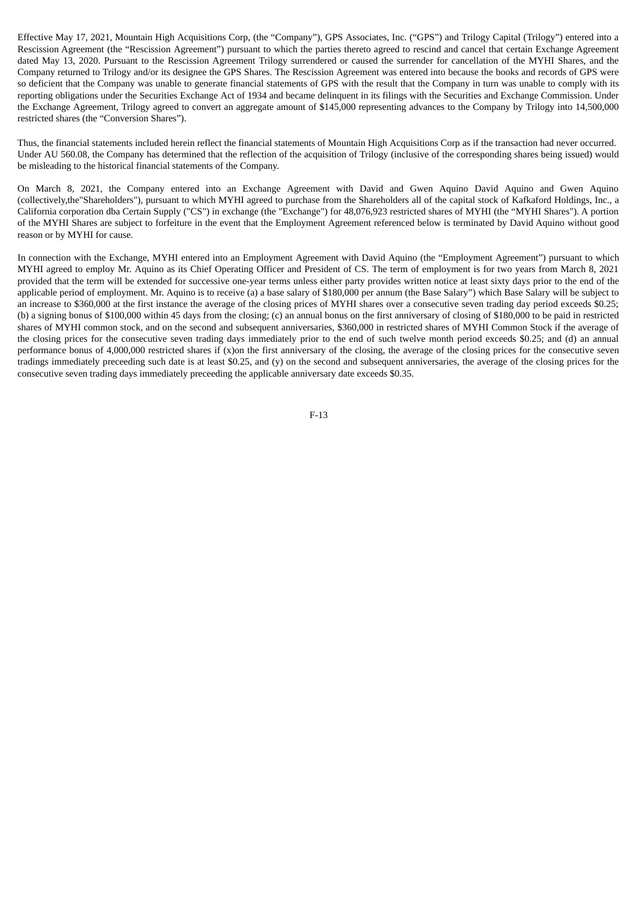Effective May 17, 2021, Mountain High Acquisitions Corp, (the "Company"), GPS Associates, Inc. ("GPS") and Trilogy Capital (Trilogy") entered into a Rescission Agreement (the "Rescission Agreement") pursuant to which the parties thereto agreed to rescind and cancel that certain Exchange Agreement dated May 13, 2020. Pursuant to the Rescission Agreement Trilogy surrendered or caused the surrender for cancellation of the MYHI Shares, and the Company returned to Trilogy and/or its designee the GPS Shares. The Rescission Agreement was entered into because the books and records of GPS were so deficient that the Company was unable to generate financial statements of GPS with the result that the Company in turn was unable to comply with its reporting obligations under the Securities Exchange Act of 1934 and became delinquent in its filings with the Securities and Exchange Commission. Under the Exchange Agreement, Trilogy agreed to convert an aggregate amount of \$145,000 representing advances to the Company by Trilogy into 14,500,000 restricted shares (the "Conversion Shares").

Thus, the financial statements included herein reflect the financial statements of Mountain High Acquisitions Corp as if the transaction had never occurred. Under AU 560.08, the Company has determined that the reflection of the acquisition of Trilogy (inclusive of the corresponding shares being issued) would be misleading to the historical financial statements of the Company.

On March 8, 2021, the Company entered into an Exchange Agreement with David and Gwen Aquino David Aquino and Gwen Aquino (collectively,the"Shareholders"), pursuant to which MYHI agreed to purchase from the Shareholders all of the capital stock of Kafkaford Holdings, Inc., a California corporation dba Certain Supply ("CS") in exchange (the "Exchange") for 48,076,923 restricted shares of MYHI (the "MYHI Shares"). A portion of the MYHI Shares are subject to forfeiture in the event that the Employment Agreement referenced below is terminated by David Aquino without good reason or by MYHI for cause.

In connection with the Exchange, MYHI entered into an Employment Agreement with David Aquino (the "Employment Agreement") pursuant to which MYHI agreed to employ Mr. Aquino as its Chief Operating Officer and President of CS. The term of employment is for two years from March 8, 2021 provided that the term will be extended for successive one-year terms unless either party provides written notice at least sixty days prior to the end of the applicable period of employment. Mr. Aquino is to receive (a) a base salary of \$180,000 per annum (the Base Salary") which Base Salary will be subject to an increase to \$360,000 at the first instance the average of the closing prices of MYHI shares over a consecutive seven trading day period exceeds \$0.25; (b) a signing bonus of \$100,000 within 45 days from the closing; (c) an annual bonus on the first anniversary of closing of \$180,000 to be paid in restricted shares of MYHI common stock, and on the second and subsequent anniversaries, \$360,000 in restricted shares of MYHI Common Stock if the average of the closing prices for the consecutive seven trading days immediately prior to the end of such twelve month period exceeds \$0.25; and (d) an annual performance bonus of 4,000,000 restricted shares if (x)on the first anniversary of the closing, the average of the closing prices for the consecutive seven tradings immediately preceeding such date is at least \$0.25, and (y) on the second and subsequent anniversaries, the average of the closing prices for the consecutive seven trading days immediately preceeding the applicable anniversary date exceeds \$0.35.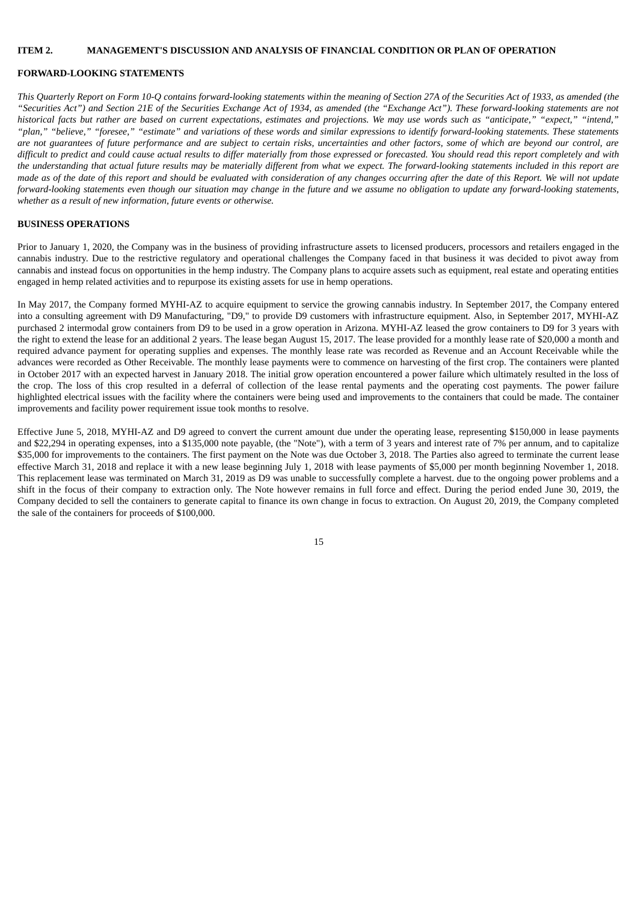### **ITEM 2. MANAGEMENT'S DISCUSSION AND ANALYSIS OF FINANCIAL CONDITION OR PLAN OF OPERATION**

#### **FORWARD-LOOKING STATEMENTS**

This Quarterly Report on Form 10-Q contains forward-looking statements within the meaning of Section 27A of the Securities Act of 1933, as amended (the "Securities Act") and Section 21E of the Securities Exchange Act of 1934, as amended (the "Exchange Act"). These forward-looking statements are not historical facts but rather are based on current expectations, estimates and projections. We may use words such as "anticipate," "expect," "intend," "plan," "believe," "foresee," "estimate" and variations of these words and similar expressions to identify forward-looking statements. These statements are not quarantees of future performance and are subject to certain risks, uncertainties and other factors, some of which are beyond our control, are difficult to predict and could cause actual results to differ materially from those expressed or forecasted. You should read this report completely and with the understanding that actual future results may be materially different from what we expect. The forward-looking statements included in this report are made as of the date of this report and should be evaluated with consideration of any changes occurring after the date of this Report. We will not update forward-looking statements even though our situation may change in the future and we assume no obligation to update any forward-looking statements, *whether as a result of new information, future events or otherwise.*

### **BUSINESS OPERATIONS**

Prior to January 1, 2020, the Company was in the business of providing infrastructure assets to licensed producers, processors and retailers engaged in the cannabis industry. Due to the restrictive regulatory and operational challenges the Company faced in that business it was decided to pivot away from cannabis and instead focus on opportunities in the hemp industry. The Company plans to acquire assets such as equipment, real estate and operating entities engaged in hemp related activities and to repurpose its existing assets for use in hemp operations.

In May 2017, the Company formed MYHI-AZ to acquire equipment to service the growing cannabis industry. In September 2017, the Company entered into a consulting agreement with D9 Manufacturing, "D9," to provide D9 customers with infrastructure equipment. Also, in September 2017, MYHI-AZ purchased 2 intermodal grow containers from D9 to be used in a grow operation in Arizona. MYHI-AZ leased the grow containers to D9 for 3 years with the right to extend the lease for an additional 2 years. The lease began August 15, 2017. The lease provided for a monthly lease rate of \$20,000 a month and required advance payment for operating supplies and expenses. The monthly lease rate was recorded as Revenue and an Account Receivable while the advances were recorded as Other Receivable. The monthly lease payments were to commence on harvesting of the first crop. The containers were planted in October 2017 with an expected harvest in January 2018. The initial grow operation encountered a power failure which ultimately resulted in the loss of the crop. The loss of this crop resulted in a deferral of collection of the lease rental payments and the operating cost payments. The power failure highlighted electrical issues with the facility where the containers were being used and improvements to the containers that could be made. The container improvements and facility power requirement issue took months to resolve.

Effective June 5, 2018, MYHI-AZ and D9 agreed to convert the current amount due under the operating lease, representing \$150,000 in lease payments and \$22,294 in operating expenses, into a \$135,000 note payable, (the "Note"), with a term of 3 years and interest rate of 7% per annum, and to capitalize \$35,000 for improvements to the containers. The first payment on the Note was due October 3, 2018. The Parties also agreed to terminate the current lease effective March 31, 2018 and replace it with a new lease beginning July 1, 2018 with lease payments of \$5,000 per month beginning November 1, 2018. This replacement lease was terminated on March 31, 2019 as D9 was unable to successfully complete a harvest. due to the ongoing power problems and a shift in the focus of their company to extraction only. The Note however remains in full force and effect. During the period ended June 30, 2019, the Company decided to sell the containers to generate capital to finance its own change in focus to extraction. On August 20, 2019, the Company completed the sale of the containers for proceeds of \$100,000.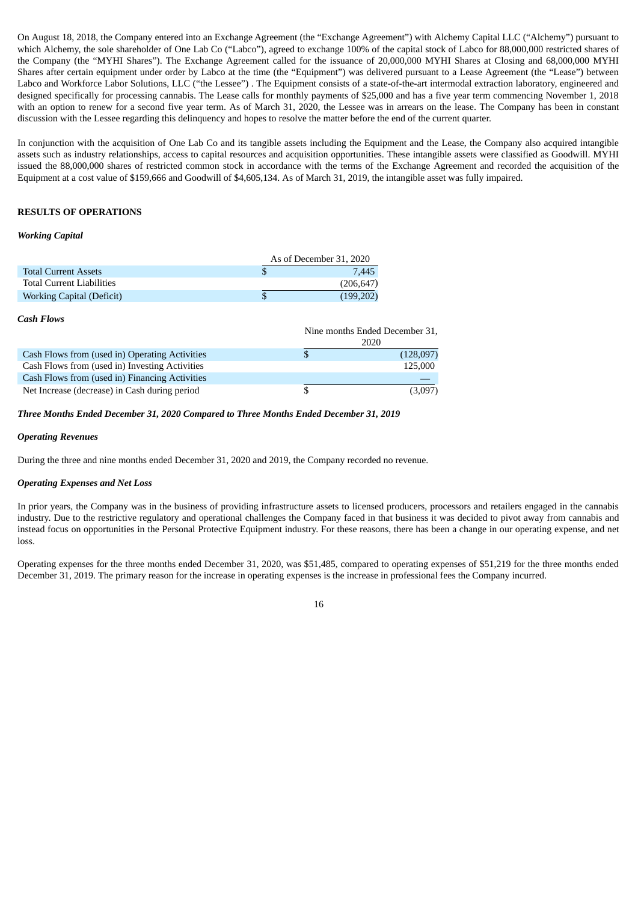On August 18, 2018, the Company entered into an Exchange Agreement (the "Exchange Agreement") with Alchemy Capital LLC ("Alchemy") pursuant to which Alchemy, the sole shareholder of One Lab Co ("Labco"), agreed to exchange 100% of the capital stock of Labco for 88,000,000 restricted shares of the Company (the "MYHI Shares"). The Exchange Agreement called for the issuance of 20,000,000 MYHI Shares at Closing and 68,000,000 MYHI Shares after certain equipment under order by Labco at the time (the "Equipment") was delivered pursuant to a Lease Agreement (the "Lease") between Labco and Workforce Labor Solutions, LLC ("the Lessee") . The Equipment consists of a state-of-the-art intermodal extraction laboratory, engineered and designed specifically for processing cannabis. The Lease calls for monthly payments of \$25,000 and has a five year term commencing November 1, 2018 with an option to renew for a second five year term. As of March 31, 2020, the Lessee was in arrears on the lease. The Company has been in constant discussion with the Lessee regarding this delinquency and hopes to resolve the matter before the end of the current quarter.

In conjunction with the acquisition of One Lab Co and its tangible assets including the Equipment and the Lease, the Company also acquired intangible assets such as industry relationships, access to capital resources and acquisition opportunities. These intangible assets were classified as Goodwill. MYHI issued the 88,000,000 shares of restricted common stock in accordance with the terms of the Exchange Agreement and recorded the acquisition of the Equipment at a cost value of \$159,666 and Goodwill of \$4,605,134. As of March 31, 2019, the intangible asset was fully impaired.

## **RESULTS OF OPERATIONS**

## *Working Capital*

|    | As of December 31, 2020 |
|----|-------------------------|
| \$ | 7,445                   |
|    | (206, 647)              |
| S  | (199,202)               |
|    | אפ ו בדווח ויות         |
|    |                         |

|                                                | Nine months Ended December 31,<br>2020 |           |  |
|------------------------------------------------|----------------------------------------|-----------|--|
| Cash Flows from (used in) Operating Activities |                                        | (128,097) |  |
| Cash Flows from (used in) Investing Activities |                                        | 125,000   |  |
| Cash Flows from (used in) Financing Activities |                                        |           |  |
| Net Increase (decrease) in Cash during period  |                                        | (3,097)   |  |

*Three Months Ended December 31, 2020 Compared to Three Months Ended December 31, 2019*

#### *Operating Revenues*

During the three and nine months ended December 31, 2020 and 2019, the Company recorded no revenue.

#### *Operating Expenses and Net Loss*

In prior years, the Company was in the business of providing infrastructure assets to licensed producers, processors and retailers engaged in the cannabis industry. Due to the restrictive regulatory and operational challenges the Company faced in that business it was decided to pivot away from cannabis and instead focus on opportunities in the Personal Protective Equipment industry. For these reasons, there has been a change in our operating expense, and net loss.

Operating expenses for the three months ended December 31, 2020, was \$51,485, compared to operating expenses of \$51,219 for the three months ended December 31, 2019. The primary reason for the increase in operating expenses is the increase in professional fees the Company incurred.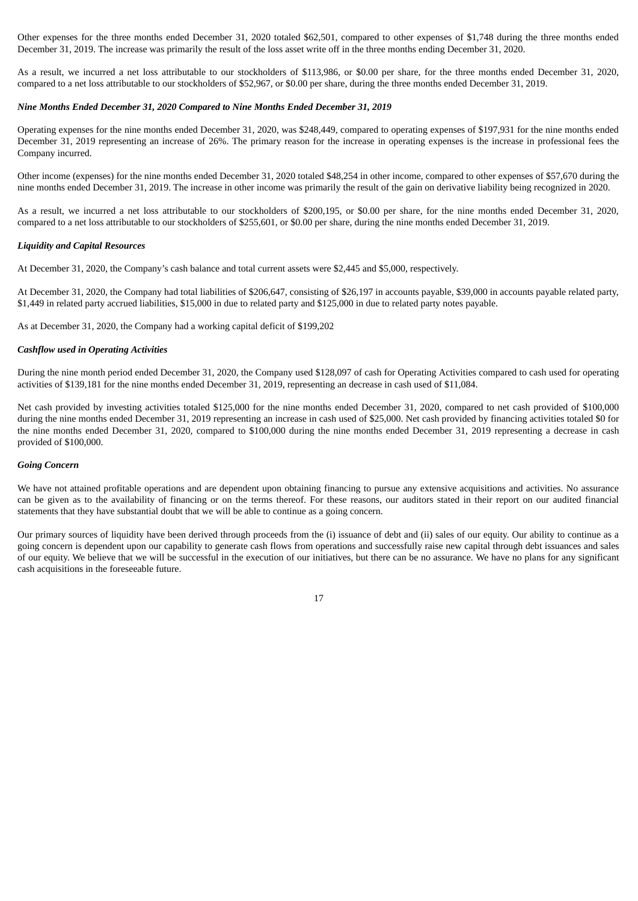Other expenses for the three months ended December 31, 2020 totaled \$62,501, compared to other expenses of \$1,748 during the three months ended December 31, 2019. The increase was primarily the result of the loss asset write off in the three months ending December 31, 2020.

As a result, we incurred a net loss attributable to our stockholders of \$113,986, or \$0.00 per share, for the three months ended December 31, 2020, compared to a net loss attributable to our stockholders of \$52,967, or \$0.00 per share, during the three months ended December 31, 2019.

### *Nine Months Ended December 31, 2020 Compared to Nine Months Ended December 31, 2019*

Operating expenses for the nine months ended December 31, 2020, was \$248,449, compared to operating expenses of \$197,931 for the nine months ended December 31, 2019 representing an increase of 26%. The primary reason for the increase in operating expenses is the increase in professional fees the Company incurred.

Other income (expenses) for the nine months ended December 31, 2020 totaled \$48,254 in other income, compared to other expenses of \$57,670 during the nine months ended December 31, 2019. The increase in other income was primarily the result of the gain on derivative liability being recognized in 2020.

As a result, we incurred a net loss attributable to our stockholders of \$200,195, or \$0.00 per share, for the nine months ended December 31, 2020, compared to a net loss attributable to our stockholders of \$255,601, or \$0.00 per share, during the nine months ended December 31, 2019.

## *Liquidity and Capital Resources*

At December 31, 2020, the Company's cash balance and total current assets were \$2,445 and \$5,000, respectively.

At December 31, 2020, the Company had total liabilities of \$206,647, consisting of \$26,197 in accounts payable, \$39,000 in accounts payable related party, \$1,449 in related party accrued liabilities, \$15,000 in due to related party and \$125,000 in due to related party notes payable.

As at December 31, 2020, the Company had a working capital deficit of \$199,202

## *Cashflow used in Operating Activities*

During the nine month period ended December 31, 2020, the Company used \$128,097 of cash for Operating Activities compared to cash used for operating activities of \$139,181 for the nine months ended December 31, 2019, representing an decrease in cash used of \$11,084.

Net cash provided by investing activities totaled \$125,000 for the nine months ended December 31, 2020, compared to net cash provided of \$100,000 during the nine months ended December 31, 2019 representing an increase in cash used of \$25,000. Net cash provided by financing activities totaled \$0 for the nine months ended December 31, 2020, compared to \$100,000 during the nine months ended December 31, 2019 representing a decrease in cash provided of \$100,000.

## *Going Concern*

We have not attained profitable operations and are dependent upon obtaining financing to pursue any extensive acquisitions and activities. No assurance can be given as to the availability of financing or on the terms thereof. For these reasons, our auditors stated in their report on our audited financial statements that they have substantial doubt that we will be able to continue as a going concern.

Our primary sources of liquidity have been derived through proceeds from the (i) issuance of debt and (ii) sales of our equity. Our ability to continue as a going concern is dependent upon our capability to generate cash flows from operations and successfully raise new capital through debt issuances and sales of our equity. We believe that we will be successful in the execution of our initiatives, but there can be no assurance. We have no plans for any significant cash acquisitions in the foreseeable future.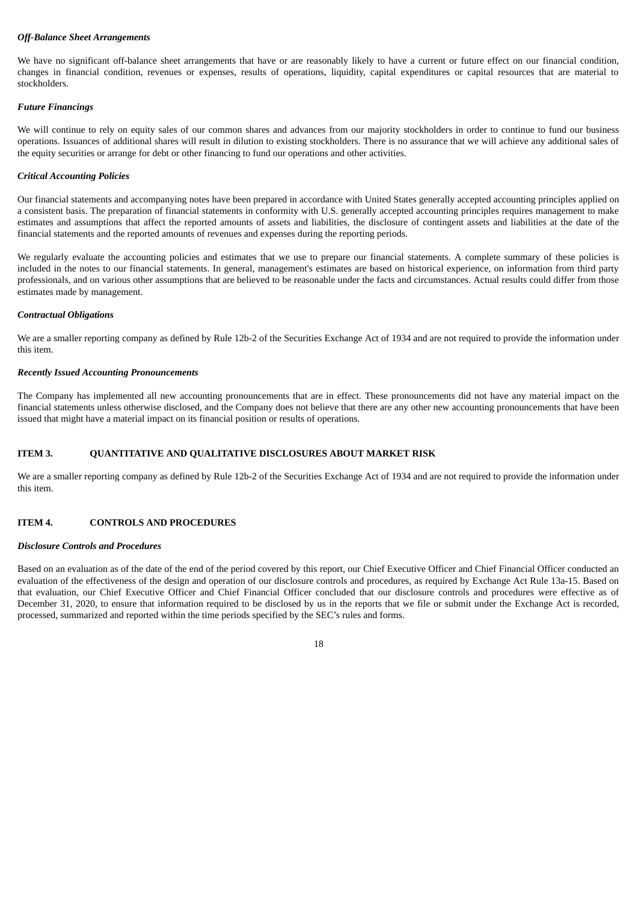## *Off-Balance Sheet Arrangements*

We have no significant off-balance sheet arrangements that have or are reasonably likely to have a current or future effect on our financial condition, changes in financial condition, revenues or expenses, results of operations, liquidity, capital expenditures or capital resources that are material to stockholders.

## *Future Financings*

We will continue to rely on equity sales of our common shares and advances from our majority stockholders in order to continue to fund our business operations. Issuances of additional shares will result in dilution to existing stockholders. There is no assurance that we will achieve any additional sales of the equity securities or arrange for debt or other financing to fund our operations and other activities.

## *Critical Accounting Policies*

Our financial statements and accompanying notes have been prepared in accordance with United States generally accepted accounting principles applied on a consistent basis. The preparation of financial statements in conformity with U.S. generally accepted accounting principles requires management to make estimates and assumptions that affect the reported amounts of assets and liabilities, the disclosure of contingent assets and liabilities at the date of the financial statements and the reported amounts of revenues and expenses during the reporting periods.

We regularly evaluate the accounting policies and estimates that we use to prepare our financial statements. A complete summary of these policies is included in the notes to our financial statements. In general, management's estimates are based on historical experience, on information from third party professionals, and on various other assumptions that are believed to be reasonable under the facts and circumstances. Actual results could differ from those estimates made by management.

#### *Contractual Obligations*

We are a smaller reporting company as defined by Rule 12b-2 of the Securities Exchange Act of 1934 and are not required to provide the information under this item.

## *Recently Issued Accounting Pronouncements*

The Company has implemented all new accounting pronouncements that are in effect. These pronouncements did not have any material impact on the financial statements unless otherwise disclosed, and the Company does not believe that there are any other new accounting pronouncements that have been issued that might have a material impact on its financial position or results of operations.

## **ITEM 3. QUANTITATIVE AND QUALITATIVE DISCLOSURES ABOUT MARKET RISK**

We are a smaller reporting company as defined by Rule 12b-2 of the Securities Exchange Act of 1934 and are not required to provide the information under this item.

## **ITEM 4. CONTROLS AND PROCEDURES**

## *Disclosure Controls and Procedures*

Based on an evaluation as of the date of the end of the period covered by this report, our Chief Executive Officer and Chief Financial Officer conducted an evaluation of the effectiveness of the design and operation of our disclosure controls and procedures, as required by Exchange Act Rule 13a-15. Based on that evaluation, our Chief Executive Officer and Chief Financial Officer concluded that our disclosure controls and procedures were effective as of December 31, 2020, to ensure that information required to be disclosed by us in the reports that we file or submit under the Exchange Act is recorded, processed, summarized and reported within the time periods specified by the SEC's rules and forms.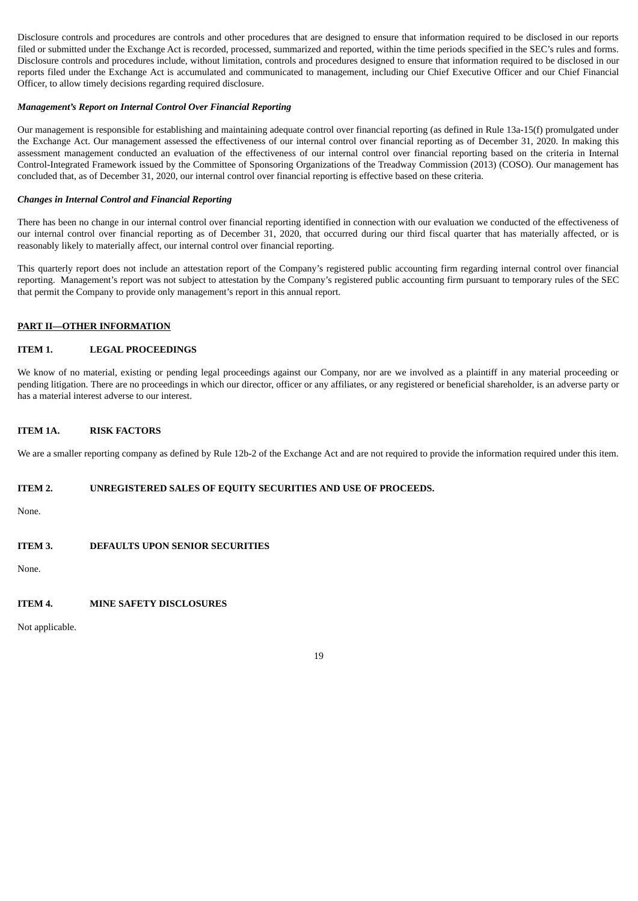Disclosure controls and procedures are controls and other procedures that are designed to ensure that information required to be disclosed in our reports filed or submitted under the Exchange Act is recorded, processed, summarized and reported, within the time periods specified in the SEC's rules and forms. Disclosure controls and procedures include, without limitation, controls and procedures designed to ensure that information required to be disclosed in our reports filed under the Exchange Act is accumulated and communicated to management, including our Chief Executive Officer and our Chief Financial Officer, to allow timely decisions regarding required disclosure.

## *Management's Report on Internal Control Over Financial Reporting*

Our management is responsible for establishing and maintaining adequate control over financial reporting (as defined in Rule 13a-15(f) promulgated under the Exchange Act. Our management assessed the effectiveness of our internal control over financial reporting as of December 31, 2020. In making this assessment management conducted an evaluation of the effectiveness of our internal control over financial reporting based on the criteria in Internal Control-Integrated Framework issued by the Committee of Sponsoring Organizations of the Treadway Commission (2013) (COSO). Our management has concluded that, as of December 31, 2020, our internal control over financial reporting is effective based on these criteria.

### *Changes in Internal Control and Financial Reporting*

There has been no change in our internal control over financial reporting identified in connection with our evaluation we conducted of the effectiveness of our internal control over financial reporting as of December 31, 2020, that occurred during our third fiscal quarter that has materially affected, or is reasonably likely to materially affect, our internal control over financial reporting.

This quarterly report does not include an attestation report of the Company's registered public accounting firm regarding internal control over financial reporting. Management's report was not subject to attestation by the Company's registered public accounting firm pursuant to temporary rules of the SEC that permit the Company to provide only management's report in this annual report.

## **PART II—OTHER INFORMATION**

## **ITEM 1. LEGAL PROCEEDINGS**

We know of no material, existing or pending legal proceedings against our Company, nor are we involved as a plaintiff in any material proceeding or pending litigation. There are no proceedings in which our director, officer or any affiliates, or any registered or beneficial shareholder, is an adverse party or has a material interest adverse to our interest.

## **ITEM 1A. RISK FACTORS**

We are a smaller reporting company as defined by Rule 12b-2 of the Exchange Act and are not required to provide the information required under this item.

#### **ITEM 2. UNREGISTERED SALES OF EQUITY SECURITIES AND USE OF PROCEEDS.**

None.

## **ITEM 3. DEFAULTS UPON SENIOR SECURITIES**

None.

## **ITEM 4. MINE SAFETY DISCLOSURES**

Not applicable.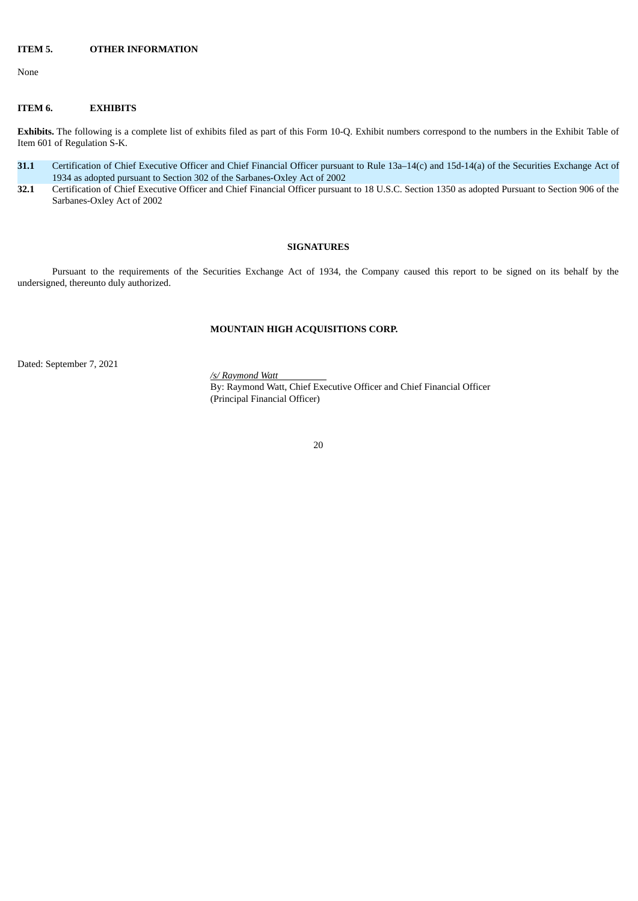## **ITEM 5. OTHER INFORMATION**

None

### **ITEM 6. EXHIBITS**

**Exhibits.** The following is a complete list of exhibits filed as part of this Form 10-Q. Exhibit numbers correspond to the numbers in the Exhibit Table of Item 601 of Regulation S-K.

- **31.1** Certification of Chief Executive Officer and Chief Financial Officer pursuant to Rule 13a–14(c) and 15d-14(a) of the Securities Exchange Act of 1934 as adopted pursuant to Section 302 of the Sarbanes-Oxley Act of 2002
- **32.1** Certification of Chief Executive Officer and Chief Financial Officer pursuant to 18 U.S.C. Section 1350 as adopted Pursuant to Section 906 of the Sarbanes-Oxley Act of 2002

## **SIGNATURES**

Pursuant to the requirements of the Securities Exchange Act of 1934, the Company caused this report to be signed on its behalf by the undersigned, thereunto duly authorized.

## **MOUNTAIN HIGH ACQUISITIONS CORP.**

Dated: September 7, 2021

*/s/ Raymond Watt* By: Raymond Watt, Chief Executive Officer and Chief Financial Officer (Principal Financial Officer)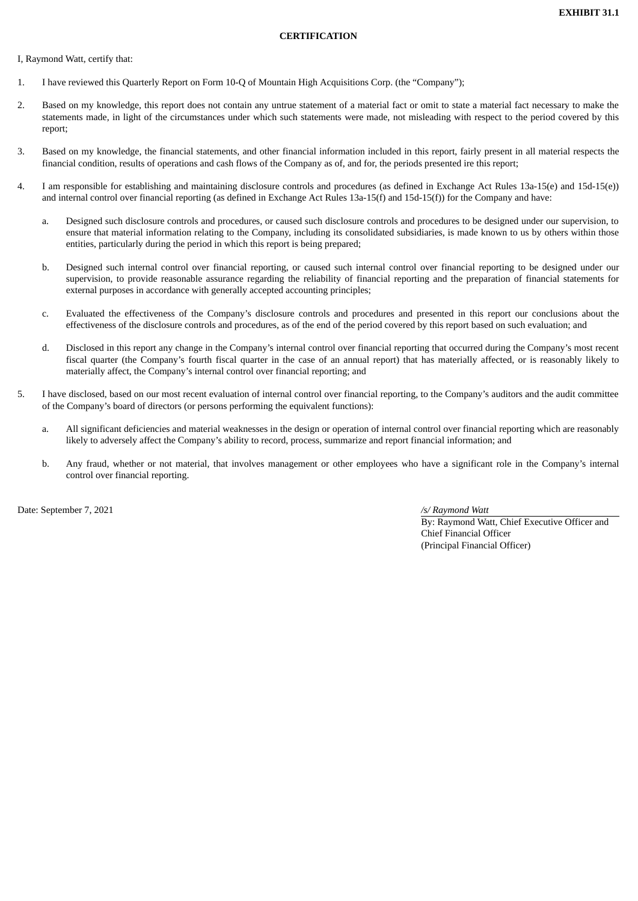## **CERTIFICATION**

I, Raymond Watt, certify that:

- 1. I have reviewed this Quarterly Report on Form 10-Q of Mountain High Acquisitions Corp. (the "Company");
- 2. Based on my knowledge, this report does not contain any untrue statement of a material fact or omit to state a material fact necessary to make the statements made, in light of the circumstances under which such statements were made, not misleading with respect to the period covered by this report;
- 3. Based on my knowledge, the financial statements, and other financial information included in this report, fairly present in all material respects the financial condition, results of operations and cash flows of the Company as of, and for, the periods presented ire this report;
- 4. I am responsible for establishing and maintaining disclosure controls and procedures (as defined in Exchange Act Rules 13a-15(e) and 15d-15(e)) and internal control over financial reporting (as defined in Exchange Act Rules 13a-15(f) and 15d-15(f)) for the Company and have:
	- a. Designed such disclosure controls and procedures, or caused such disclosure controls and procedures to be designed under our supervision, to ensure that material information relating to the Company, including its consolidated subsidiaries, is made known to us by others within those entities, particularly during the period in which this report is being prepared;
	- b. Designed such internal control over financial reporting, or caused such internal control over financial reporting to be designed under our supervision, to provide reasonable assurance regarding the reliability of financial reporting and the preparation of financial statements for external purposes in accordance with generally accepted accounting principles;
	- c. Evaluated the effectiveness of the Company's disclosure controls and procedures and presented in this report our conclusions about the effectiveness of the disclosure controls and procedures, as of the end of the period covered by this report based on such evaluation; and
	- d. Disclosed in this report any change in the Company's internal control over financial reporting that occurred during the Company's most recent fiscal quarter (the Company's fourth fiscal quarter in the case of an annual report) that has materially affected, or is reasonably likely to materially affect, the Company's internal control over financial reporting; and
- 5. I have disclosed, based on our most recent evaluation of internal control over financial reporting, to the Company's auditors and the audit committee of the Company's board of directors (or persons performing the equivalent functions):
	- a. All significant deficiencies and material weaknesses in the design or operation of internal control over financial reporting which are reasonably likely to adversely affect the Company's ability to record, process, summarize and report financial information; and
	- b. Any fraud, whether or not material, that involves management or other employees who have a significant role in the Company's internal control over financial reporting.

Date: September 7, 2021 */s/ Raymond Watt*

By: Raymond Watt, Chief Executive Officer and Chief Financial Officer (Principal Financial Officer)